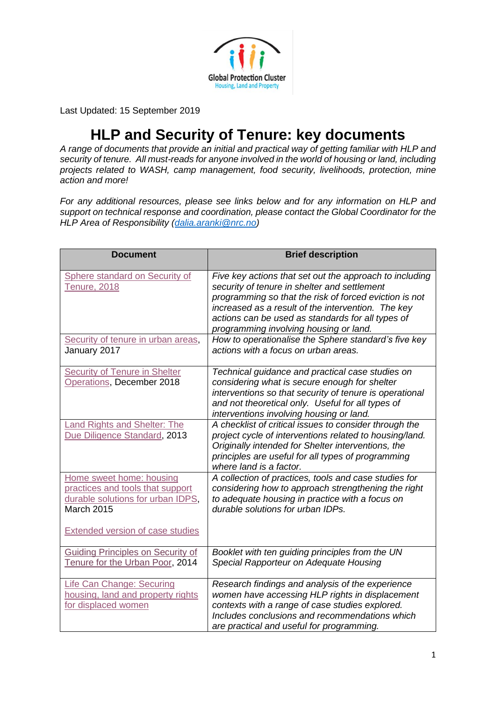

Last Updated: 15 September 2019

## **HLP and Security of Tenure: key documents**

*A range of documents that provide an initial and practical way of getting familiar with HLP and security of tenure. All must-reads for anyone involved in the world of housing or land, including projects related to WASH, camp management, food security, livelihoods, protection, mine action and more!* 

*For any additional resources, please see links below and for any information on HLP and support on technical response and coordination, please contact the Global Coordinator for the HLP Area of Responsibility [\(dalia.aranki@nrc.no\)](mailto:dalia.aranki@nrc.no)*

| <b>Document</b>                                                                                                                                            | <b>Brief description</b>                                                                                                                                                                                                                                                                                                                                                       |
|------------------------------------------------------------------------------------------------------------------------------------------------------------|--------------------------------------------------------------------------------------------------------------------------------------------------------------------------------------------------------------------------------------------------------------------------------------------------------------------------------------------------------------------------------|
| Sphere standard on Security of<br><b>Tenure, 2018</b><br>Security of tenure in urban areas,                                                                | Five key actions that set out the approach to including<br>security of tenure in shelter and settlement<br>programming so that the risk of forced eviction is not<br>increased as a result of the intervention. The key<br>actions can be used as standards for all types of<br>programming involving housing or land.<br>How to operationalise the Sphere standard's five key |
| January 2017                                                                                                                                               | actions with a focus on urban areas.                                                                                                                                                                                                                                                                                                                                           |
| <b>Security of Tenure in Shelter</b><br>Operations, December 2018                                                                                          | Technical guidance and practical case studies on<br>considering what is secure enough for shelter<br>interventions so that security of tenure is operational<br>and not theoretical only. Useful for all types of<br>interventions involving housing or land.                                                                                                                  |
| Land Rights and Shelter: The<br>Due Diligence Standard, 2013                                                                                               | A checklist of critical issues to consider through the<br>project cycle of interventions related to housing/land.<br>Originally intended for Shelter interventions, the<br>principles are useful for all types of programming<br>where land is a factor.                                                                                                                       |
| Home sweet home: housing<br>practices and tools that support<br>durable solutions for urban IDPS,<br>March 2015<br><b>Extended version of case studies</b> | A collection of practices, tools and case studies for<br>considering how to approach strengthening the right<br>to adequate housing in practice with a focus on<br>durable solutions for urban IDPs.                                                                                                                                                                           |
| <b>Guiding Principles on Security of</b><br>Tenure for the Urban Poor, 2014                                                                                | Booklet with ten guiding principles from the UN<br>Special Rapporteur on Adequate Housing                                                                                                                                                                                                                                                                                      |
| <b>Life Can Change: Securing</b><br>housing, land and property rights<br>for displaced women                                                               | Research findings and analysis of the experience<br>women have accessing HLP rights in displacement<br>contexts with a range of case studies explored.<br>Includes conclusions and recommendations which<br>are practical and useful for programming.                                                                                                                          |